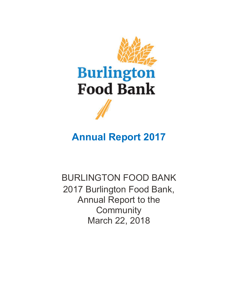

# **Annual Report 2017**

BURLINGTON FOOD BANK 2017 Burlington Food Bank, Annual Report to the **Community** March 22, 2018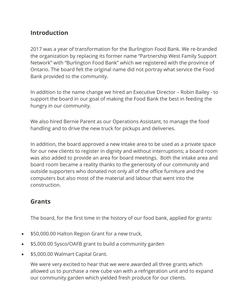# **Introduction**

2017 was a year of transformation for the Burlington Food Bank. We re-branded the organization by replacing its former name "Partnership West Family Support Network" with "Burlington Food Bank" which we registered with the province of Ontario. The board felt the original name did not portray what service the Food Bank provided to the community.

In addition to the name change we hired an Executive Director – Robin Bailey - to support the board in our goal of making the Food Bank the best in feeding the hungry in our community.

We also hired Bernie Parent as our Operations Assistant, to manage the food handling and to drive the new truck for pickups and deliveries.

In addition, the board approved a new intake area to be used as a private space for our new clients to register in dignity and without interruptions; a board room was also added to provide an area for board meetings. Both the intake area and board room became a reality thanks to the generosity of our community and outside supporters who donated not only all of the office furniture and the computers but also most of the material and labour that went into the construction.

## **Grants**

The board, for the first time in the history of our food bank, applied for grants:

- \$50,000.00 Halton Region Grant for a new truck,
- \$5,000.00 Sysco/OAFB grant to build a community garden
- \$5,000.00 Walmart Capital Grant.

We were very excited to hear that we were awarded all three grants which allowed us to purchase a new cube van with a refrigeration unit and to expand our community garden which yielded fresh produce for our clients.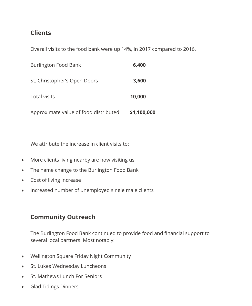# **Clients**

Overall visits to the food bank were up 14%, in 2017 compared to 2016.

| Burlington Food Bank                  | 6,400       |
|---------------------------------------|-------------|
| St. Christopher's Open Doors          | 3,600       |
| <b>Total visits</b>                   | 10,000      |
| Approximate value of food distributed | \$1,100,000 |

We attribute the increase in client visits to:

- More clients living nearby are now visiting us
- The name change to the Burlington Food Bank
- Cost of living increase
- Increased number of unemployed single male clients

# **Community Outreach**

The Burlington Food Bank continued to provide food and financial support to several local partners. Most notably:

- Wellington Square Friday Night Community
- St. Lukes Wednesday Luncheons
- St. Mathews Lunch For Seniors
- Glad Tidings Dinners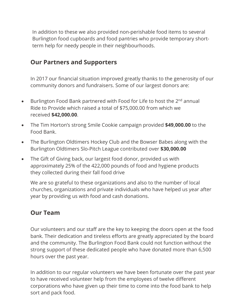In addition to these we also provided non-perishable food items to several Burlington food cupboards and food pantries who provide temporary shortterm help for needy people in their neighbourhoods.

### **Our Partners and Supporters**

In 2017 our financial situation improved greatly thanks to the generosity of our community donors and fundraisers. Some of our largest donors are:

- Burlington Food Bank partnered with Food for Life to host the 2<sup>nd</sup> annual Ride to Provide which raised a total of \$75,000.00 from which we received **\$42,000.00**.
- The Tim Horton's strong Smile Cookie campaign provided **\$49,000.00** to the Food Bank.
- The Burlington Oldtimers Hockey Club and the Bowser Babes along with the Burlington Oldtimers Slo-Pitch League contributed over **\$30,000.00**
- The Gift of Giving back, our largest food donor, provided us with approximately 25% of the 422,000 pounds of food and hygiene products they collected during their fall food drive

We are so grateful to these organizations and also to the number of local churches, organizations and private individuals who have helped us year after year by providing us with food and cash donations.

### **Our Team**

Our volunteers and our staff are the key to keeping the doors open at the food bank. Their dedication and tireless efforts are greatly appreciated by the board and the community. The Burlington Food Bank could not function without the strong support of these dedicated people who have donated more than 6,500 hours over the past year.

In addition to our regular volunteers we have been fortunate over the past year to have received volunteer help from the employees of twelve different corporations who have given up their time to come into the food bank to help sort and pack food.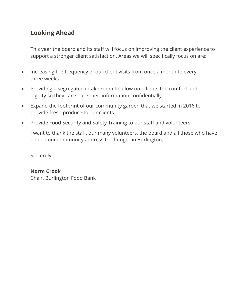# **Looking Ahead**

This year the board and its staff will focus on improving the client experience to support a stronger client satisfaction. Areas we will specifically focus on are:

- Increasing the frequency of our client visits from once a month to every three weeks
- Providing a segregated intake room to allow our clients the comfort and dignity so they can share their information confidentially.
- Expand the footprint of our community garden that we started in 2016 to provide fresh produce to our clients.
- Provide Food Security and Safety Training to our staff and volunteers.

I want to thank the staff, our many volunteers, the board and all those who have helped our community address the hunger in Burlington.

Sincerely,

#### **Norm Crook**

Chair, Burlington Food Bank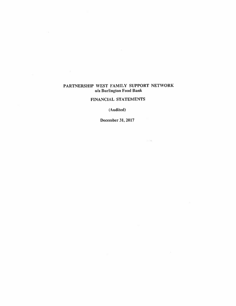### **FINANCIAL STATEMENTS**

(Audited)

**December 31, 2017** 

 $\langle \lambda, \xi, \xi \rangle$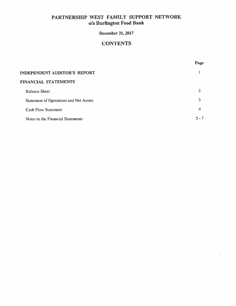# **December 31, 2017**

# **CONTENTS**

Page

| INDEPENDENT AUDITOR'S REPORT           |         |
|----------------------------------------|---------|
| FINANCIAL STATEMENTS                   |         |
| <b>Balance Sheet</b>                   |         |
| Statement of Operations and Net Assets |         |
| <b>Cash Flow Statement</b>             | 4       |
| Notes to the Financial Statements      | $5 - 7$ |

 $\mathcal{N}$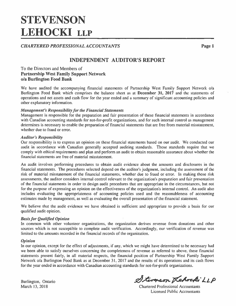# **STEVENSON LEHOCKI LLP**

**CHARTERED PROFESSIONAL ACCOUNTANTS** 

Page 1

# **INDEPENDENT AUDITOR'S REPORT**

### To the Directors and Members of **Partnership West Family Support Network** o/a Burlington Food Bank

We have audited the accompanying financial statements of Partnership West Family Support Network o/a Burlington Food Bank which comprises the balance sheet as at December 31, 2017 and the statements of operations and net assets and cash flow for the year ended and a summary of significant accounting policies and other explanatory information.

### **Management's Responsibility for the Financial Statements**

Management is responsible for the preparation and fair presentation of these financial statements in accordance with Canadian accounting standards for not-for-profit organizations, and for such internal control as management determines is necessary to enable the preparation of financial statements that are free from material misstatement, whether due to fraud or error.

### **Auditor's Responsibility**

Our responsibility is to express an opinion on these financial statements based on our audit. We conducted our audit in accordance with Canadian generally accepted auditing standards. Those standards require that we comply with ethical requirements and plan and perform an audit to obtain reasonable assurance about whether the financial statements are free of material misstatement.

An audit involves performing procedures to obtain audit evidence about the amounts and disclosures in the financial statements. The procedures selected depend on the auditor's judgment, including the assessment of the risk of material misstatement of the financial statements, whether due to fraud or error. In making those risk assessments, the auditor considers internal control relevant to the organization's preparation and fair presentation of the financial statements in order to design audit procedures that are appropriate in the circumstances, but not for the purpose of expressing an opinion on the effectiveness of the organization's internal control. An audit also includes evaluating the appropriateness of accounting policies used and the reasonableness of accounting estimates made by management, as well as evaluating the overall presentation of the financial statement.

We believe that the audit evidence we have obtained is sufficient and appropriate to provide a basis for our qualified audit opinion.

### **Basis for Qualified Opinion**

In common with other volunteer organizations, the organization derives revenue from donations and other sources which is not susceptible to complete audit verification. Accordingly, our verification of revenue was limited to the amounts recorded in the financial records of the organization.

#### **Opinion**

In our opinion, except for the effect of adjustments, if any, which we might have determined to be necessary had we been able to satisfy ourselves concerning the completeness of revenue as referred to above, these financial statements present fairly, in all material respects, the financial position of Partnership West Family Support Network o/a Burlington Food Bank as at December 31, 2017 and the results of its operations and its cash flows for the year ended in accordance with Canadian accounting standards for not-for-profit organizations.

Burlington, Ontario March 13, 2018

Stevenson Kehocki LLP

**Chartered Professional Accountants Licensed Public Accountants**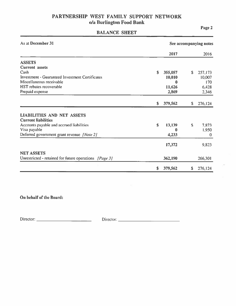# **BALANCE SHEET**

Page 2

| As at December 31                                                                                                                                                                  | See accompanying notes |                                                  |              |                                            |
|------------------------------------------------------------------------------------------------------------------------------------------------------------------------------------|------------------------|--------------------------------------------------|--------------|--------------------------------------------|
|                                                                                                                                                                                    |                        | 2017                                             |              | 2016                                       |
| <b>ASSETS</b><br><b>Current</b> assets<br>Cash<br><b>Investment - Guaranteed Investment Certificates</b><br>Miscellaneous receivable<br>HST rebates recoverable<br>Prepaid expense | \$                     | 355,057<br>10,010<br>$\bf{0}$<br>11,626<br>2,869 | $\mathbf{s}$ | 257,173<br>10,007<br>170<br>6,428<br>2,346 |
|                                                                                                                                                                                    | \$                     | 379,562                                          | \$           | 276,124                                    |
| <b>LIABILITIES AND NET ASSETS</b><br><b>Current liabilities</b><br>Accounts payable and accrued liabilities<br>Visa payable<br>Deferred government grant revenue [Note 2]          | \$                     | 13,139<br>0<br>4,233                             | \$           | 7,873<br>1,950<br>$\bf{0}$                 |
| <b>NET ASSETS</b><br>Unrestricted - retained for future operations [Page 3]                                                                                                        |                        | 17,372<br>362,190                                |              | 9,823<br>266,301                           |
|                                                                                                                                                                                    | \$                     | 379,562                                          | $\mathbf S$  | 276,124                                    |

On behalf of the Board: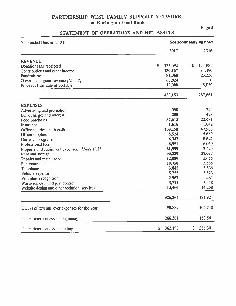# STATEMENT OF OPERATIONS AND NET ASSETS

ä

| Year ended December 31                       | See accompanying notes |               |  |  |
|----------------------------------------------|------------------------|---------------|--|--|
|                                              | 2017                   | 2016          |  |  |
| <b>REVENUE</b>                               |                        |               |  |  |
| Donations tax receipted                      | 135,094<br>\$          | 174,885<br>\$ |  |  |
| Contributions and other income               | 130,167                | 81,490        |  |  |
| Fundraising                                  | 81,068                 | 23,236        |  |  |
| Government grant revenue [Note 2]            | 65,824                 | 0             |  |  |
| Proceeds from sale of portable               | 10,000                 | 8,050         |  |  |
|                                              | 422,153                | 287,661       |  |  |
| <b>EXPENSES</b>                              |                        |               |  |  |
| Advertising and promotion                    | 398                    | 344           |  |  |
| Bank charges and interest                    | 250                    | 428           |  |  |
| Food purchases                               | 37,613                 | 22,481        |  |  |
| Insurance                                    | 1,616                  | 1,642         |  |  |
| Office salaries and benefits                 | 108,158                | 67,938        |  |  |
| Office supplies                              | 8,524                  | 5,669         |  |  |
| Outreach programs                            | 6,347                  | 8,642         |  |  |
| Professional fees                            | 6,551                  | 6,059         |  |  |
| Property and equipment expensed [Note I(c)]  | 61,999                 | 3,475         |  |  |
| Rent and storage                             | 33,220                 | 28,687        |  |  |
| Repairs and maintenance                      | 12,089                 | 5,455         |  |  |
| Sub-contracts                                | 19,758                 | 3,585         |  |  |
| Telephone                                    | 3,845                  | 3,836         |  |  |
| Vehicle expense                              | 5,755                  | 5,523         |  |  |
| Volunteer recognition                        | 2,967                  | 481           |  |  |
| Waste removal and pest control               | 3,714                  | 3,418         |  |  |
| Website design and other technical services  | 13,460                 | 14,258        |  |  |
|                                              | 326,264                | 181,921       |  |  |
| Excess of revenue over expenses for the year | 95,889                 | 105,740       |  |  |
| Unrestricted net assets, beginning           | 266,301                | 160,561       |  |  |
| Unrestricted net assets, ending              | \$<br>362,190          | \$<br>266,301 |  |  |

Page 3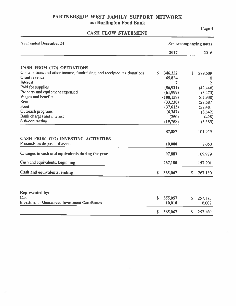# CASH FLOW STATEMENT

Page 4

| <b>Year ended December 31</b>                                            |    | See accompanying notes |              |                |  |
|--------------------------------------------------------------------------|----|------------------------|--------------|----------------|--|
|                                                                          |    | 2017                   |              | 2016           |  |
| <b>CASH FROM (TO) OPERATIONS</b>                                         |    |                        |              |                |  |
| Contributions and other income, fundraising, and receipted tax donations | \$ | 346,322                | $\mathsf S$  | 279,609        |  |
| <b>Grant</b> revenue                                                     |    | 65,824                 |              | 0              |  |
| Interest                                                                 |    | 7                      |              | $\overline{2}$ |  |
| Paid for supplies                                                        |    | (56, 921)              |              | (42, 446)      |  |
| Property and equipment expensed                                          |    | (61,999)               |              | (3, 475)       |  |
| Wages and benefits                                                       |    | (108, 158)             |              | (67, 938)      |  |
| Rent                                                                     |    | (33,220)               |              | (28, 687)      |  |
| Food                                                                     |    | (37, 613)              |              | (22,481)       |  |
| Outreach programs                                                        |    | (6, 347)               |              | (8,642)        |  |
| Bank charges and interest                                                |    | (250)                  |              | (428)          |  |
| Sub-contracting                                                          |    | (19,758)               |              | (3,585)        |  |
|                                                                          |    | 87,887                 |              | 101,929        |  |
| CASH FROM (TO) INVESTING ACTIVITIES                                      |    |                        |              |                |  |
| Proceeds on disposal of assets                                           |    | 10,000                 |              | 8,050          |  |
| Changes in cash and equivalents during the year                          |    | 97,887                 |              | 109,979        |  |
| Cash and equivalents, beginning                                          |    | 267,180                |              | 157,201        |  |
| Cash and equivalents, ending                                             | \$ | 365,067                | \$           | 267,180        |  |
|                                                                          |    |                        |              |                |  |
| <b>Represented by:</b>                                                   |    |                        |              |                |  |
| Cash                                                                     | \$ | 355,057                | $\mathsf{S}$ | 257,173        |  |
| <b>Investment - Guaranteed Investment Certificates</b>                   |    | 10,010                 |              | 10,007         |  |
|                                                                          | \$ | 365,067                | \$           | 267,180        |  |

o.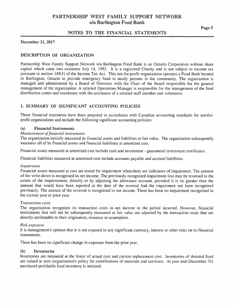### NOTES TO THE FINANCIAL STATEMENTS

#### **December 31, 2017**

### **DESCRIPTION OF ORGANIZATION**

Partnership West Family Support Network o/a Burlington Food Bank is an Ontario Corporation without share capital which came into existence July 14, 1992. It is a registered Charity and is not subject to income tax pursuant to section 149(1) of the Income Tax Act. This not-for-profit organization operates a Food Bank located in Burlington, Ontario to provide emergency food to needy persons in the community. The organization is managed and administered by a Board of Directors with the Chair of the Board responsible for the general management of the organization. A salaried Operations Manager is responsible for the management of the food distribution centre and warehouse with the assistance of a salaried staff member and volunteers.

### 1. SUMMARY OF SIGNIFICANT ACCOUNTING POLICIES

These financial statements have been prepared in accordance with Canadian accounting standards for not-forprofit organizations and include the following significant accounting policies:

#### $(a)$ **Financial Instruments**

#### **Measurement of financial instruments**

The organization initially measured its financial assets and liabilities at fair value. The organization subsequently measures all of its financial assets and financial liabilities at amortized cost.

Financial assets measured at amortized cost include cash and investment - guaranteed investment certificates.

Financial liabilities measured at amortized cost include accounts payable and accrued liabilities.

#### Impairment

Financial assets measured at cost are tested for impairment when there are indicators of impairment. The amount of the write-down is recognized in net income. The previously recognized impairment loss may be reversed to the extent of the improvement, directly or by adjusting the allowance account, provided it is no greater than the amount that would have been reported at the date of the reversal had the impairment not been recognized previously. The amount of the reversal is recognized in net income. There has been no impairment recognized in the current year or prior year.

#### Transaction costs

The organization recognizes its transaction costs in net income in the period incurred. However, financial instruments that will not be subsequently measured at fair value are adjusted by the transaction costs that are directly attributable to their origination, issuance or assumption.

#### Risk exposure

It is management's opinion that it is not exposed to any significant currency, interest or other risks on its financial instruments.

There has been no significant change in exposure from the prior year.

#### (b) **Inventories**

Inventories are measured at the lower of actual cost and current replacement cost. Inventories of donated food are valued at zero (organization's policy for contributions of materials and services). At year end (December 31) purchased perishable food inventory is minimal.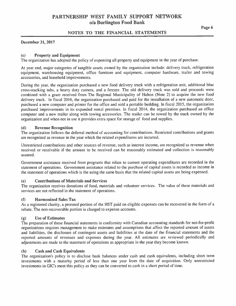### NOTES TO THE FINANCIAL STATEMENTS

#### December 31, 2017

#### **Property and Equipment**  $(c)$

The organization has adopted the policy of expensing all property and equipment in the year of purchase.

At year end, major categories of tangible assets owned by the organization include: delivery truck, refrigeration equipment, warehousing equipment, office furniture and equipment, computer hardware, trailer and towing accessories, and leasehold improvements.

During the year, the organization purchased a new food delivery truck with a refrigeration unit, additional blue cross-stacking tubs, a heavy duty camera, and a freezer. The old delivery truck was sold and proceeds were combined with a grant received from The Regional Municipality of Halton (Note 2) to acquire the new food delivery truck. In fiscal 2016, the organization purchased and paid for the installation of a new automatic door, purchased a new computer and printer for the office and sold a portable building. In fiscal 2015, the organization purchased improvements in its expanded rental premises. In fiscal 2014, the organization purchased an office computer and a new trailer along with towing accessories. The trailer can be towed by the truck owned by the organization and when not in use it provides extra space for storage of food and supplies.

#### **Revenue Recognition**  $(d)$

The organization follows the deferral method of accounting for contributions. Restricted contributions and grants are recognized as revenue in the year which the related expenditures are incurred.

Unrestricted contributions and other sources of revenue, such as interest income, are recognized as revenue when received or receivable if the amount to be received can be reasonably estimated and collection is reasonably assured.

Government assistance received from programs that relate to current operating expenditures are recorded in the statement of operations. Government assistance related to the purchase of capital assets is recorded as income in the statement of operations which is the using the same basis that the related capital assets are being expensed.

#### (e) **Contributions of Materials and Services**

The organization receives donations of food, materials and volunteer services. The value of these materials and services are not reflected in the statement of operations.

#### $(f)$ **Harmonized Sales Tax**

As a registered charity, a prorated portion of the HST paid on eligible expenses can be recovered in the form of a rebate. The non-recoverable portion is charged to expense accounts.

#### **Use of Estimates**  $\left( \mathbf{g} \right)$

The preparation of these financial statements in conformity with Canadian accounting standards for not-for-profit organizations requires management to make estimates and assumptions that affect the reported amount of assets and liabilities, the disclosure of contingent assets and liabilities at the date of the financial statements and the reported amounts of revenues and expenses during the year. All estimates are reviewed periodically and adjustments are made to the statement of operations as appropriate in the year they become known.

#### **Cash and Cash Equivalents**  $(h)$

The organization's policy is to disclose bank balances under cash and cash equivalents, including short term investments with a maturity period of less than one year from the date of acquisition. Only unrestricted investments in GIC's meet this policy as they can be converted to cash in a short period of time.